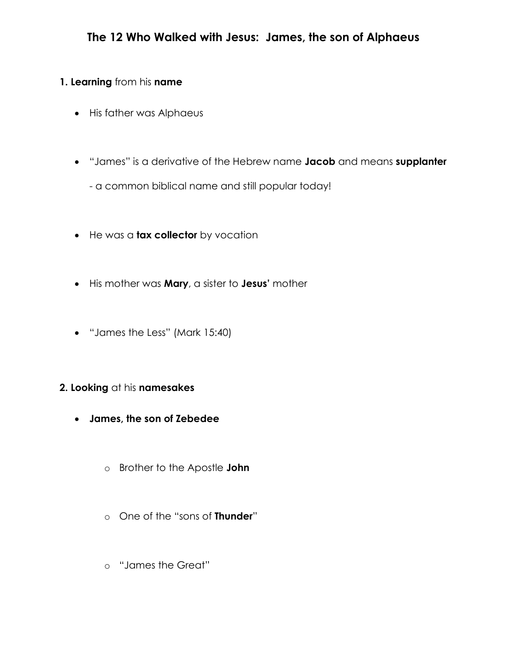# **1. Learning** from his **name**

- His father was Alphaeus
- "James" is a derivative of the Hebrew name **Jacob** and means **supplanter**
	- a common biblical name and still popular today!
- He was a **tax collector** by vocation
- His mother was **Mary**, a sister to **Jesus'** mother
- "James the Less" (Mark 15:40)

# **2. Looking** at his **namesakes**

- **James, the son of Zebedee**
	- o Brother to the Apostle **John**
	- o One of the "sons of **Thunder**"
	- o "James the Great"